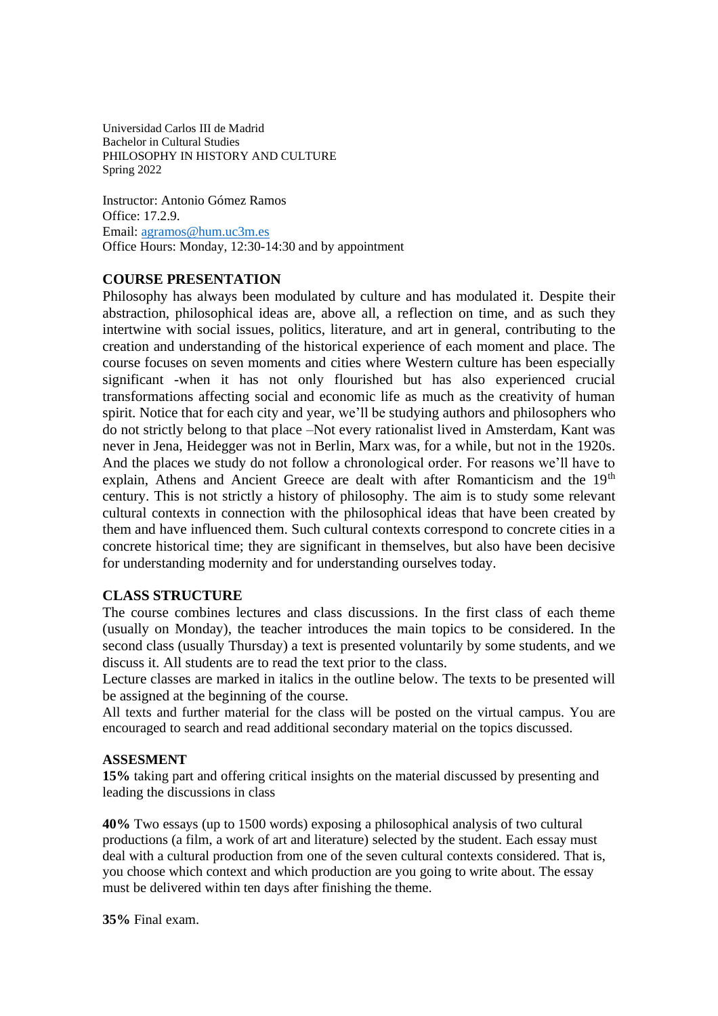Universidad Carlos III de Madrid Bachelor in Cultural Studies PHILOSOPHY IN HISTORY AND CULTURE Spring 2022

Instructor: Antonio Gómez Ramos Office: 17.2.9. Email: [agramos@hum.uc3m.es](mailto:agramos@hum.uc3m.es) Office Hours: Monday, 12:30-14:30 and by appointment

### **COURSE PRESENTATION**

Philosophy has always been modulated by culture and has modulated it. Despite their abstraction, philosophical ideas are, above all, a reflection on time, and as such they intertwine with social issues, politics, literature, and art in general, contributing to the creation and understanding of the historical experience of each moment and place. The course focuses on seven moments and cities where Western culture has been especially significant -when it has not only flourished but has also experienced crucial transformations affecting social and economic life as much as the creativity of human spirit. Notice that for each city and year, we'll be studying authors and philosophers who do not strictly belong to that place –Not every rationalist lived in Amsterdam, Kant was never in Jena, Heidegger was not in Berlin, Marx was, for a while, but not in the 1920s. And the places we study do not follow a chronological order. For reasons we'll have to explain, Athens and Ancient Greece are dealt with after Romanticism and the 19<sup>th</sup> century. This is not strictly a history of philosophy. The aim is to study some relevant cultural contexts in connection with the philosophical ideas that have been created by them and have influenced them. Such cultural contexts correspond to concrete cities in a concrete historical time; they are significant in themselves, but also have been decisive for understanding modernity and for understanding ourselves today.

#### **CLASS STRUCTURE**

The course combines lectures and class discussions. In the first class of each theme (usually on Monday), the teacher introduces the main topics to be considered. In the second class (usually Thursday) a text is presented voluntarily by some students, and we discuss it. All students are to read the text prior to the class.

Lecture classes are marked in italics in the outline below. The texts to be presented will be assigned at the beginning of the course.

All texts and further material for the class will be posted on the virtual campus. You are encouraged to search and read additional secondary material on the topics discussed.

#### **ASSESMENT**

**15%** taking part and offering critical insights on the material discussed by presenting and leading the discussions in class

**40%** Two essays (up to 1500 words) exposing a philosophical analysis of two cultural productions (a film, a work of art and literature) selected by the student. Each essay must deal with a cultural production from one of the seven cultural contexts considered. That is, you choose which context and which production are you going to write about. The essay must be delivered within ten days after finishing the theme.

**35%** Final exam.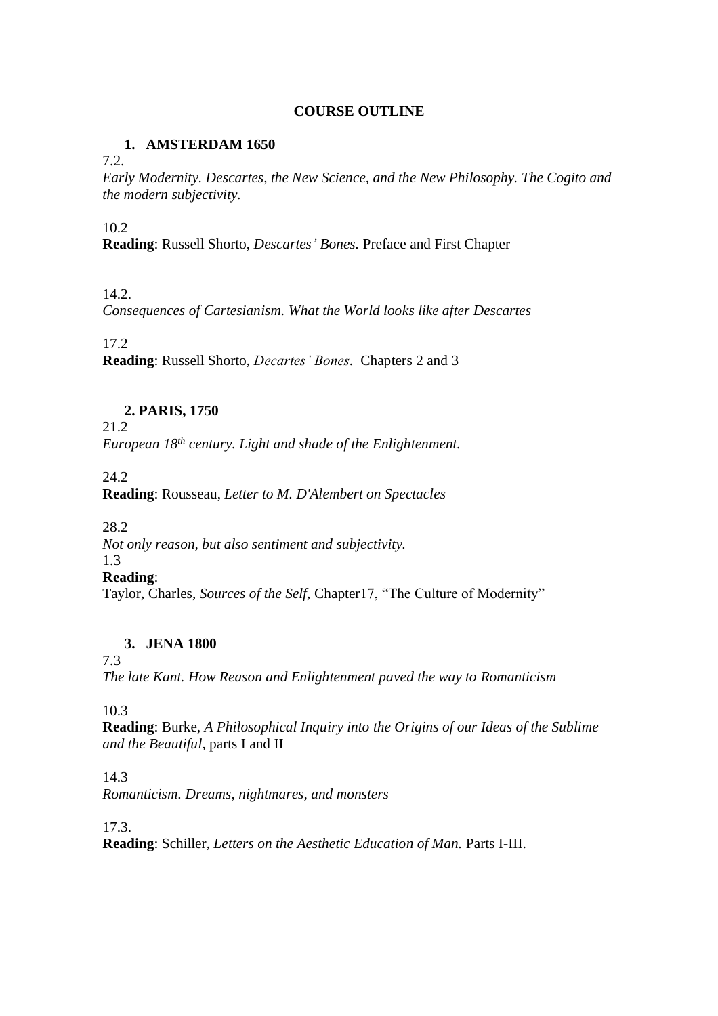### **COURSE OUTLINE**

## **1. AMSTERDAM 1650**

7.2.

*Early Modernity. Descartes, the New Science, and the New Philosophy. The Cogito and the modern subjectivity.*

10.2

**Reading**: Russell Shorto, *Descartes' Bones.* Preface and First Chapter

## 14.2.

*Consequences of Cartesianism. What the World looks like after Descartes*

## 17.2

**Reading**: Russell Shorto, *Decartes' Bones.* Chapters 2 and 3

# **2. PARIS, 1750**

21.2 *European 18th century. Light and shade of the Enlightenment.*

24.2

**Reading**: Rousseau, *Letter to M. D'Alembert on Spectacles*

28.2

*Not only reason, but also sentiment and subjectivity.*

#### 1.3

**Reading**:

Taylor, Charles, *Sources of the Self*, Chapter17, "The Culture of Modernity"

## **3. JENA 1800**

7.3

*The late Kant. How Reason and Enlightenment paved the way to Romanticism*

10.3

**Reading**: Burke, *A Philosophical Inquiry into the Origins of our Ideas of the Sublime and the Beautiful*, parts I and II

14.3

*Romanticism. Dreams, nightmares, and monsters*

17.3.

**Reading**: Schiller, *Letters on the Aesthetic Education of Man.* Parts I-III.